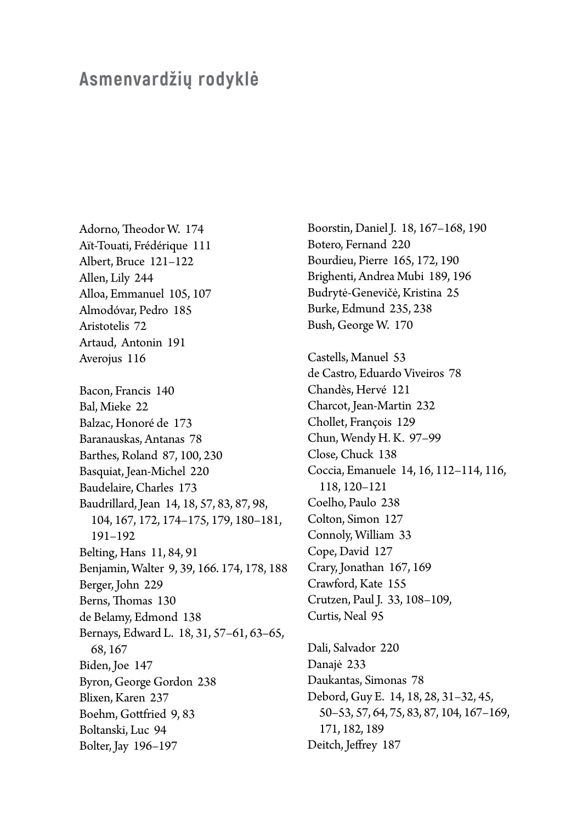## **Asmenvardžių rodyklė**

Adorno, Theodor W. 174 Aït-Touati, Frédérique 111 Albert, Bruce 121–122 Allen, Lily 244 Alloa, Emmanuel 105, 107 Almodóvar, Pedro 185 Aristotelis 72 Artaud, Antonin 191 Averojus 116 Bacon, Francis 140 Bal, Mieke 22 Balzac, Honoré de 173 Baranauskas, Antanas 78 Barthes, Roland 87, 100, 230 Basquiat, Jean-Michel 220 Baudelaire, Charles 173 Baudrillard, Jean 14, 18, 57, 83, 87, 98, 104, 167, 172, 174–175, 179, 180–181, 191–192 Belting, Hans 11, 84, 91 Benjamin, Walter 9, 39, 166. 174, 178, 188 Berger, John 229 Berns, Thomas 130 de Belamy, Edmond 138 Bernays, Edward L. 18, 31, 57–61, 63–65, 68, 167 Biden, Joe 147 Byron, George Gordon 238 Blixen, Karen 237 Boehm, Gottfried 9, 83 Boltanski, Luc 94 Bolter, Jay 196–197

Boorstin, Daniel J. 18, 167–168, 190 Botero, Fernand 220 Bourdieu, Pierre 165, 172, 190 Brighenti, Andrea Mubi 189, 196 Budrytė-Genevičė, Kristina 25 Burke, Edmund 235, 238 Bush, George W. 170 Castells, Manuel 53 de Castro, Eduardo Viveiros 78 Chandès, Hervé 121 Charcot, Jean-Martin 232 Chollet, François 129 Chun, Wendy H. K. 97–99 Close, Chuck 138 Coccia, Emanuele 14, 16, 112–114, 116, 118, 120–121 Coelho, Paulo 238 Colton, Simon 127 Connoly, William 33 Cope, David 127 Crary, Jonathan 167, 169 Crawford, Kate 155 Crutzen, Paul J. 33, 108–109, Curtis, Neal 95 Dali, Salvador 220 Danajė 233 Daukantas, Simonas 78 Debord, Guy E. 14, 18, 28, 31–32, 45, 50–53, 57, 64, 75, 83, 87, 104, 167–169, 171, 182, 189 Deitch, Jeffrey 187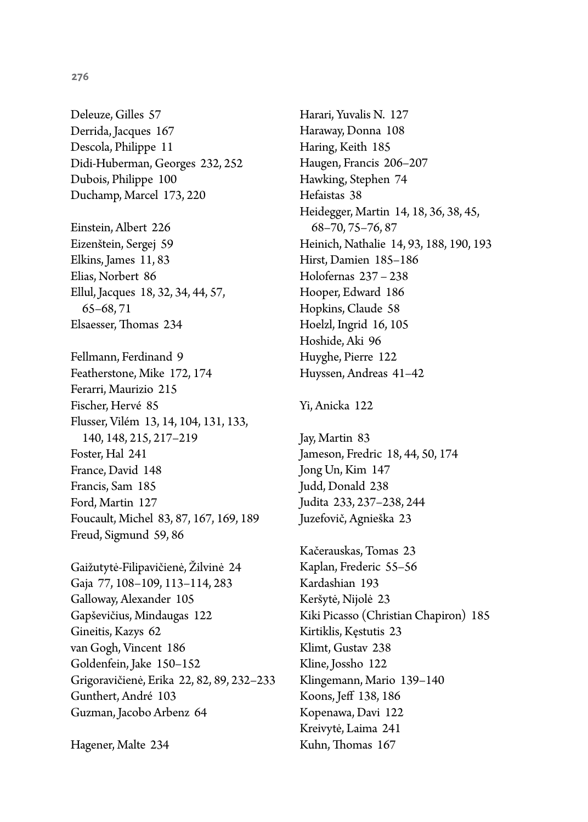Deleuze, Gilles 57 Derrida, Jacques 167 Descola, Philippe 11 Didi-Huberman, Georges 232, 252 Dubois, Philippe 100 Duchamp, Marcel 173, 220

Einstein, Albert 226 Eizenštein, Sergej 59 Elkins, James 11, 83 Elias, Norbert 86 Ellul, Jacques 18, 32, 34, 44, 57, 65–68, 71 Elsaesser, Thomas 234

Fellmann, Ferdinand 9 Featherstone, Mike 172, 174 Ferarri, Maurizio 215 Fischer, Hervé 85 Flusser, Vilém 13, 14, 104, 131, 133, 140, 148, 215, 217–219 Foster, Hal 241 France, David 148 Francis, Sam 185 Ford, Martin 127 Foucault, Michel 83, 87, 167, 169, 189 Freud, Sigmund 59, 86

Gaižutytė-Filipavičienė, Žilvinė 24 Gaja 77, 108–109, 113–114, 283 Galloway, Alexander 105 Gapševičius, Mindaugas 122 Gineitis, Kazys 62 van Gogh, Vincent 186 Goldenfein, Jake 150–152 Grigoravičienė, Erika 22, 82, 89, 232–233 Gunthert, André 103 Guzman, Jacobo Arbenz 64

Hagener, Malte 234

Harari, Yuvalis N. 127 Haraway, Donna 108 Haring, Keith 185 Haugen, Francis 206–207 Hawking, Stephen 74 Hefaistas 38 Heidegger, Martin 14, 18, 36, 38, 45, 68–70, 75–76, 87 Heinich, Nathalie 14, 93, 188, 190, 193 Hirst, Damien 185–186 Holofernas 237 – 238 Hooper, Edward 186 Hopkins, Claude 58 Hoelzl, Ingrid 16, 105 Hoshide, Aki 96 Huyghe, Pierre 122 Huyssen, Andreas 41–42

## Yi, Anicka 122

Jay, Martin 83 Jameson, Fredric 18, 44, 50, 174 Jong Un, Kim 147 Judd, Donald 238 Judita 233, 237–238, 244 Juzefovič, Agnieška 23

Kačerauskas, Tomas 23 Kaplan, Frederic 55–56 Kardashian 193 Keršytė, Nijolė 23 Kiki Picasso (Christian Chapiron) 185 Kirtiklis, Kęstutis 23 Klimt, Gustav 238 Kline, Jossho 122 Klingemann, Mario 139–140 Koons, Jeff 138, 186 Kopenawa, Davi 122 Kreivytė, Laima 241 Kuhn, Thomas 167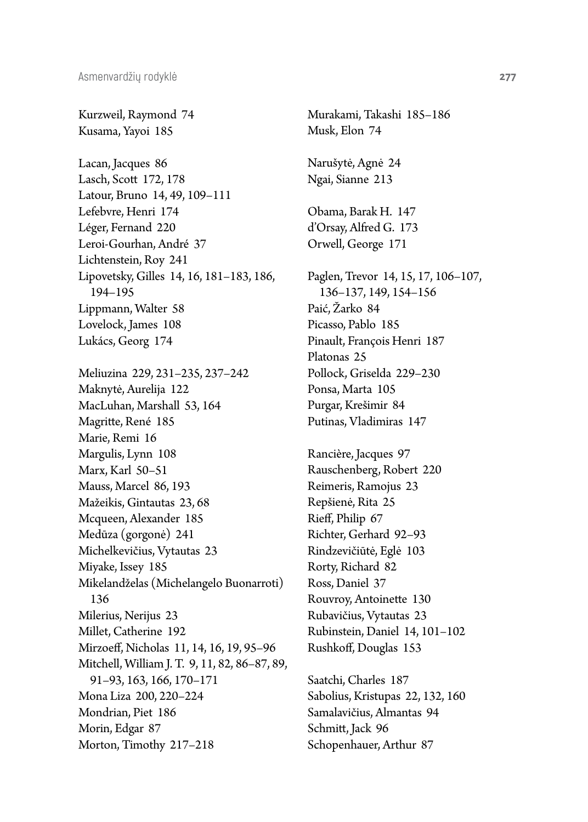Kurzweil, Raymond 74 Kusama, Yayoi 185

Lacan, Jacques 86 Lasch, Scott 172, 178 Latour, Bruno 14, 49, 109–111 Lefebvre, Henri 174 Léger, Fernand 220 Leroi-Gourhan, André 37 Lichtenstein, Roy 241 Lipovetsky, Gilles 14, 16, 181–183, 186, 194–195 Lippmann, Walter 58 Lovelock, James 108 Lukács, Georg 174

Meliuzina 229, 231–235, 237–242 Maknytė, Aurelija 122 MacLuhan, Marshall 53, 164 Magritte, René 185 Marie, Remi 16 Margulis, Lynn 108 Marx, Karl 50–51 Mauss, Marcel 86, 193 Mažeikis, Gintautas 23, 68 Mcqueen, Alexander 185 Medūza (gorgonė) 241 Michelkevičius, Vytautas 23 Miyake, Issey 185 Mikelandželas (Michelangelo Buonarroti) 136 Milerius, Nerijus 23 Millet, Catherine 192 Mirzoeff, Nicholas 11, 14, 16, 19, 95–96 Mitchell, William J. T. 9, 11, 82, 86–87, 89, 91–93, 163, 166, 170–171 Mona Liza 200, 220–224 Mondrian, Piet 186 Morin, Edgar 87 Morton, Timothy 217–218

Murakami, Takashi 185–186 Musk, Elon 74 Narušytė, Agnė 24 Ngai, Sianne 213 Obama, Barak H. 147 d'Orsay, Alfred G. 173 Orwell, George 171 Paglen, Trevor 14, 15, 17, 106–107, 136–137, 149, 154–156 Paić, Žarko 84 Picasso, Pablo 185 Pinault, François Henri 187 Platonas 25 Pollock, Griselda 229–230 Ponsa, Marta 105 Purgar, Krešimir 84 Putinas, Vladimiras 147 Rancière, Jacques 97 Rauschenberg, Robert 220 Reimeris, Ramojus 23 Repšienė, Rita 25 Rieff, Philip 67 Richter, Gerhard 92–93 Rindzevičiūtė, Eglė 103 Rorty, Richard 82 Ross, Daniel 37 Rouvroy, Antoinette 130 Rubavičius, Vytautas 23 Rubinstein, Daniel 14, 101–102 Rushkoff, Douglas 153

Saatchi, Charles 187 Sabolius, Kristupas 22, 132, 160 Samalavičius, Almantas 94 Schmitt, Jack 96 Schopenhauer, Arthur 87